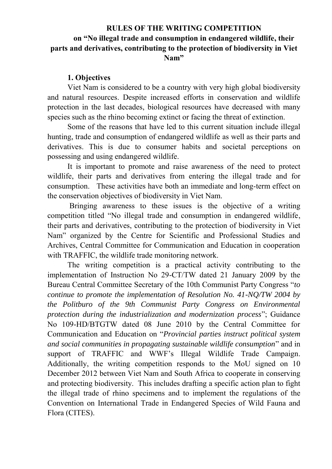# **RULES OF THE WRITING COMPETITION on "No illegal trade and consumption in endangered wildlife, their parts and derivatives, contributing to the protection of biodiversity in Viet Nam"**

#### **1. Objectives**

Viet Nam is considered to be a country with very high global biodiversity and natural resources. Despite increased efforts in conservation and wildlife protection in the last decades, biological resources have decreased with many species such as the rhino becoming extinct or facing the threat of extinction.

Some of the reasons that have led to this current situation include illegal hunting, trade and consumption of endangered wildlife as well as their parts and derivatives. This is due to consumer habits and societal perceptions on possessing and using endangered wildlife.

It is important to promote and raise awareness of the need to protect wildlife, their parts and derivatives from entering the illegal trade and for consumption. These activities have both an immediate and long-term effect on the conservation objectives of biodiversity in Viet Nam.

 Bringing awareness to these issues is the objective of a writing competition titled "No illegal trade and consumption in endangered wildlife, their parts and derivatives, contributing to the protection of biodiversity in Viet Nam" organized by the Centre for Scientific and Professional Studies and Archives, Central Committee for Communication and Education in cooperation with TRAFFIC, the wildlife trade monitoring network.

The writing competition is a practical activity contributing to the implementation of Instruction No 29-CT/TW dated 21 January 2009 by the Bureau Central Committee Secretary of the 10th Communist Party Congress "*to continue to promote the implementation of Resolution No. 41-NQ/TW 2004 by the Politburo of the 9th Communist Party Congress on Environmental protection during the industrialization and modernization process*"; Guidance No 109-HD/BTGTW dated 08 June 2010 by the Central Committee for Communication and Education on "*Provincial parties instruct political system and social communities in propagating sustainable wildlife consumption*" and in support of TRAFFIC and WWF's Illegal Wildlife Trade Campaign. Additionally, the writing competition responds to the MoU signed on 10 December 2012 between Viet Nam and South Africa to cooperate in conserving and protecting biodiversity. This includes drafting a specific action plan to fight the illegal trade of rhino specimens and to implement the regulations of the Convention on International Trade in Endangered Species of Wild Fauna and Flora (CITES).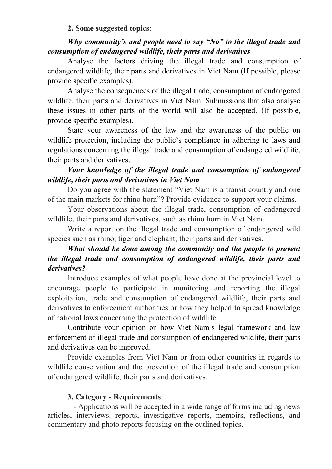#### **2. Some suggested topics**:

## *Why community's and people need to say "No" to the illegal trade and consumption of endangered wildlife, their parts and derivatives*

Analyse the factors driving the illegal trade and consumption of endangered wildlife, their parts and derivatives in Viet Nam (If possible, please provide specific examples).

Analyse the consequences of the illegal trade, consumption of endangered wildlife, their parts and derivatives in Viet Nam. Submissions that also analyse these issues in other parts of the world will also be accepted. (If possible, provide specific examples).

State your awareness of the law and the awareness of the public on wildlife protection, including the public's compliance in adhering to laws and regulations concerning the illegal trade and consumption of endangered wildlife, their parts and derivatives.

## *Your knowledge of the illegal trade and consumption of endangered wildlife, their parts and derivatives in Viet Nam*

Do you agree with the statement "Viet Nam is a transit country and one of the main markets for rhino horn"? Provide evidence to support your claims.

Your observations about the illegal trade, consumption of endangered wildlife, their parts and derivatives, such as rhino horn in Viet Nam.

Write a report on the illegal trade and consumption of endangered wild species such as rhino, tiger and elephant, their parts and derivatives.

# *What should be done among the community and the people to prevent the illegal trade and consumption of endangered wildlife, their parts and derivatives?*

Introduce examples of what people have done at the provincial level to encourage people to participate in monitoring and reporting the illegal exploitation, trade and consumption of endangered wildlife, their parts and derivatives to enforcement authorities or how they helped to spread knowledge of national laws concerning the protection of wildlife

Contribute your opinion on how Viet Nam's legal framework and law enforcement of illegal trade and consumption of endangered wildlife, their parts and derivatives can be improved.

Provide examples from Viet Nam or from other countries in regards to wildlife conservation and the prevention of the illegal trade and consumption of endangered wildlife, their parts and derivatives.

### **3. Category - Requirements**

 - Applications will be accepted in a wide range of forms including news articles, interviews, reports, investigative reports, memoirs, reflections, and commentary and photo reports focusing on the outlined topics.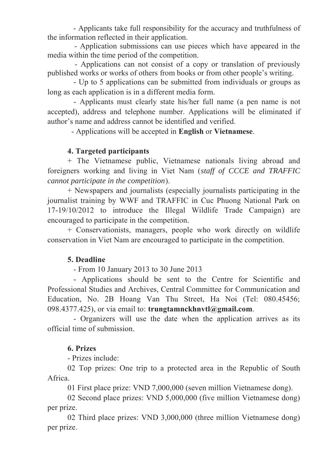- Applicants take full responsibility for the accuracy and truthfulness of the information reflected in their application.

 - Application submissions can use pieces which have appeared in the media within the time period of the competition.

 - Applications can not consist of a copy or translation of previously published works or works of others from books or from other people's writing.

 - Up to 5 applications can be submitted from individuals or groups as long as each application is in a different media form.

 - Applicants must clearly state his/her full name (a pen name is not accepted), address and telephone number. Applications will be eliminated if author's name and address cannot be identified and verified.

- Applications will be accepted in **English** or **Vietnamese**.

## **4. Targeted participants**

+ The Vietnamese public, Vietnamese nationals living abroad and foreigners working and living in Viet Nam (*staff of CCCE and TRAFFIC cannot participate in the competition*).

+ Newspapers and journalists (especially journalists participating in the journalist training by WWF and TRAFFIC in Cuc Phuong National Park on 17-19/10/2012 to introduce the Illegal Wildlife Trade Campaign) are encouraged to participate in the competition.

+ Conservationists, managers, people who work directly on wildlife conservation in Viet Nam are encouraged to participate in the competition.

### **5. Deadline**

- From 10 January 2013 to 30 June 2013

 - Applications should be sent to the Centre for Scientific and Professional Studies and Archives, Central Committee for Communication and Education, No. 2B Hoang Van Thu Street, Ha Noi (Tel: 080.45456; 098.4377.425), or via email to: **trungtamnckhnvtl@gmail.com**.

 - Organizers will use the date when the application arrives as its official time of submission.

### **6. Prizes**

- Prizes include:

02 Top prizes: One trip to a protected area in the Republic of South Africa.

01 First place prize: VND 7,000,000 (seven million Vietnamese dong).

02 Second place prizes: VND 5,000,000 (five million Vietnamese dong) per prize.

02 Third place prizes: VND 3,000,000 (three million Vietnamese dong) per prize.